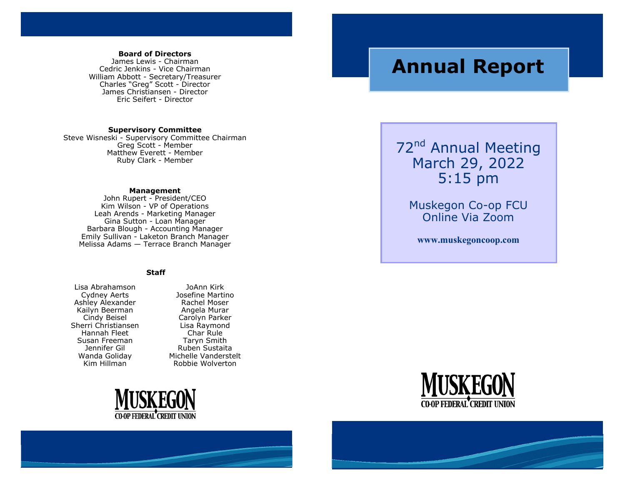#### **Board of Directors**

James Lewis - Chairman Cedric Jenkins - Vice Chairman William Abbott - Secretary/Treasurer Charles "Greg" Scott - Director James Christiansen - Director Eric Seifert - Director

#### **Supervisory Committee**

Steve Wisneski - Supervisory Committee Chairman Greg Scott - Member Matthew Everett - Member Ruby Clark - Member

#### **Management**

John Rupert - President/CEO Kim Wilson - VP of Operations Leah Arends - Marketing Manager Gina Sutton - Loan Manager Barbara Blough - Accounting Manager Emily Sullivan - Laketon Branch Manager Melissa Adams — Terrace Branch Manager

#### **Staff**

Lisa Abrahamson Cydney Aerts Ashley Alexander Kailyn Beerman Cindy Beisel Sherri Christiansen Hannah Fleet Susan Freeman Jennifer Gil Wanda Goliday Kim Hillman

JoAnn Kirk Josefine Martino Rachel Moser Angela Murar Carolyn Parker Lisa Raymond Char Rule Taryn Smith Ruben Sustaita Michelle Vanderstelt Robbie Wolverton



# **Annual Report**

72<sup>nd</sup> Annual Meeting March 29, 2022 5:15 pm

> Muskegon Co-op FCU Online Via Zoom

**www.muskegoncoop.com** 



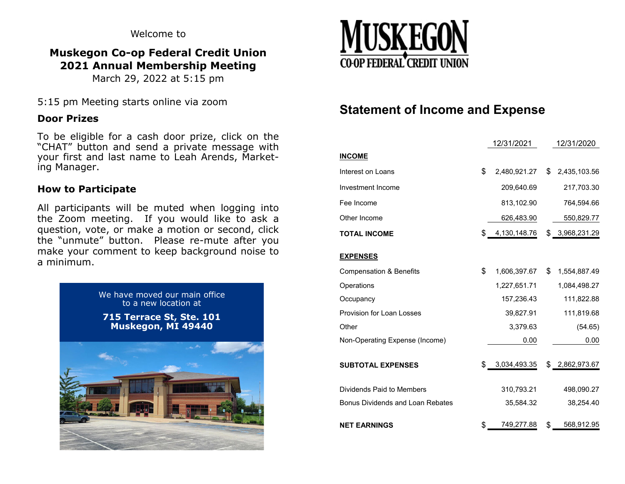Welcome to

## **Muskegon Co-op Federal Credit Union 2021 Annual Membership Meeting**

March 29, 2022 at 5:15 pm

5:15 pm Meeting starts online via zoom

## **Door Prizes**

To be eligible for a cash door prize, click on the "CHAT" button and send a private message with your first and last name to Leah Arends, Marketing Manager.

## **How to Participate**

All participants will be muted when logging into the Zoom meeting. If you would like to ask a question, vote, or make a motion or second, click the "unmute" button. Please re-mute after you make your comment to keep background noise to a minimum.





# **Statement of Income and Expense**

|                                         | 12/31/2021         | 12/31/2020         |
|-----------------------------------------|--------------------|--------------------|
| <b>INCOME</b>                           |                    |                    |
| Interest on Loans                       | \$<br>2,480,921.27 | \$<br>2,435,103.56 |
| Investment Income                       | 209,640.69         | 217,703.30         |
| Fee Income                              | 813,102.90         | 764,594.66         |
| Other Income                            | 626,483.90         | 550,829.77         |
| <b>TOTAL INCOME</b>                     | \$4,130,148.76     | \$3,968,231.29     |
| <b>EXPENSES</b>                         |                    |                    |
| <b>Compensation &amp; Benefits</b>      | \$<br>1,606,397.67 | \$<br>1,554,887.49 |
| Operations                              | 1,227,651.71       | 1,084,498.27       |
| Occupancy                               | 157,236.43         | 111,822.88         |
| Provision for Loan Losses               | 39,827.91          | 111,819.68         |
| Other                                   | 3,379.63           | (54.65)            |
| Non-Operating Expense (Income)          | 0.00               | 0.00               |
| <b>SUBTOTAL EXPENSES</b>                | \$<br>3,034,493.35 | \$2,862,973.67     |
| Dividends Paid to Members               | 310,793.21         | 498,090.27         |
| <b>Bonus Dividends and Loan Rebates</b> | 35,584.32          | 38,254.40          |
| <b>NET EARNINGS</b>                     | \$<br>749,277.88   | \$<br>568,912.95   |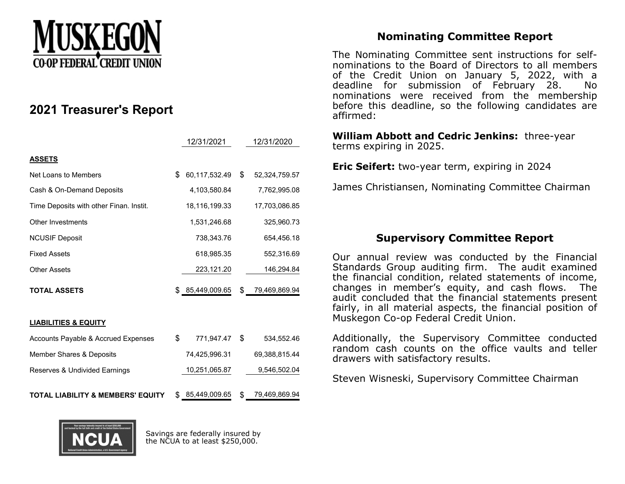

# **2021 Treasurer's Report**

|                                              | 12/31/2021          | 12/31/2020          |
|----------------------------------------------|---------------------|---------------------|
| <b>ASSETS</b>                                |                     |                     |
| Net Loans to Members                         | \$<br>60,117,532.49 | \$<br>52,324,759.57 |
| Cash & On-Demand Deposits                    | 4,103,580.84        | 7,762,995.08        |
| Time Deposits with other Finan. Instit.      | 18,116,199.33       | 17,703,086.85       |
| <b>Other Investments</b>                     | 1,531,246.68        | 325,960.73          |
| <b>NCUSIF Deposit</b>                        | 738,343.76          | 654,456.18          |
| <b>Fixed Assets</b>                          | 618,985.35          | 552,316.69          |
| <b>Other Assets</b>                          | 223,121.20          | 146,294.84          |
| <b>TOTAL ASSETS</b>                          | \$85,449,009.65     | \$<br>79,469,869.94 |
| <b>LIABILITIES &amp; EQUITY</b>              |                     |                     |
| Accounts Payable & Accrued Expenses          | \$<br>771,947.47    | \$<br>534,552.46    |
| Member Shares & Deposits                     | 74,425,996.31       | 69,388,815.44       |
| Reserves & Undivided Earnings                | 10,251,065.87       | 9,546,502.04        |
| <b>TOTAL LIABILITY &amp; MEMBERS' EQUITY</b> | \$<br>85,449,009.65 | \$<br>79,469,869.94 |

# **Nominating Committee Report**

The Nominating Committee sent instructions for selfnominations to the Board of Directors to all members of the Credit Union on January 5, 2022, with a deadline for submission of February 28. No nominations were received from the membership before this deadline, so the following candidates are affirmed:

**William Abbott and Cedric Jenkins:** three-year terms expiring in 2025.

**Eric Seifert:** two-year term, expiring in 2024

James Christiansen, Nominating Committee Chairman

## **Supervisory Committee Report**

Our annual review was conducted by the Financial Standards Group auditing firm. The audit examined the financial condition, related statements of income, changes in member's equity, and cash flows. The audit concluded that the financial statements present fairly, in all material aspects, the financial position of Muskegon Co-op Federal Credit Union.

Additionally, the Supervisory Committee conducted random cash counts on the office vaults and teller drawers with satisfactory results.

Steven Wisneski, Supervisory Committee Chairman



Savings are federally insured by the NCUA to at least \$250,000.